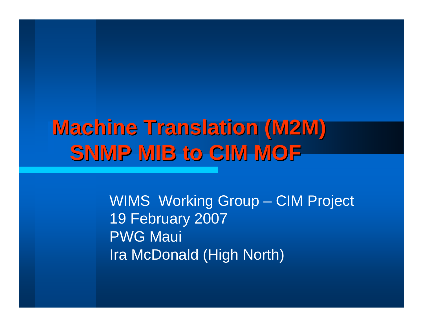## **Machine Translation (M2M) SNMP MIB to CIM MOF**

WIMS Working Group – CIM Project 19 February 2007 PWG Maui Ira McDonald (High North)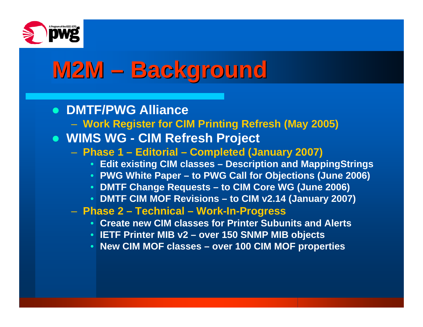

# M2M – Background

### z **DMTF/PWG Alliance**

- **Work Register for CIM Printing Refresh (May 2005)**
- z **WIMS WG CIM Refresh Project**
	- **Phase 1 Editorial Completed (January 2007)**
		- **Edit existing CIM classes Description and MappingStrings**
		- **PWG White Paper to PWG Call for Objections (June 2006)**
		- **DMTF Change Requests to CIM Core WG (June 2006)**
		- **DMTF CIM MOF Revisions to CIM v2.14 (January 2007)**
	- **Phase 2 Technical Work-In-Progress**
		- **Create new CIM classes for Printer Subunits and Alerts**
		- **IETF Printer MIB v2 over 150 SNMP MIB objects**
		- **New CIM MOF classes over 100 CIM MOF properties**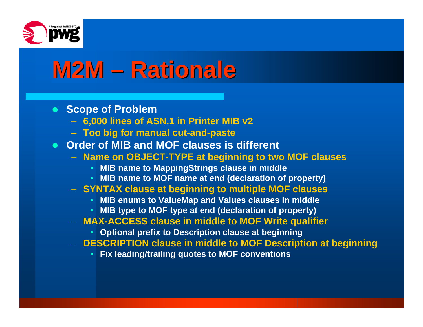

# **M2M – Rationale**

#### **• Scope of Problem**

- **6,000 lines of ASN.1 in Printer MIB v2**
- **Too big for manual cut-and-paste**
- **Order of MIB and MOF clauses is different** 
	- **Name on OBJECT-TYPE at beginning to two MOF clauses**
		- **MIB name to MappingStrings clause in middle**
		- **MIB name to MOF name at end (declaration of property)**
	- **SYNTAX clause at beginning to multiple MOF clauses**
		- **MIB enums to ValueMap and Values clauses in middle**
		- **MIB type to MOF type at end (declaration of property)**
	- **MAX-ACCESS clause in middle to MOF Write qualifier**
		- **Optional prefix to Description clause at beginning**
	- **DESCRIPTION clause in middle to MOF Description at beginning**
		- •**Fix leading/trailing quotes to MOF conventions**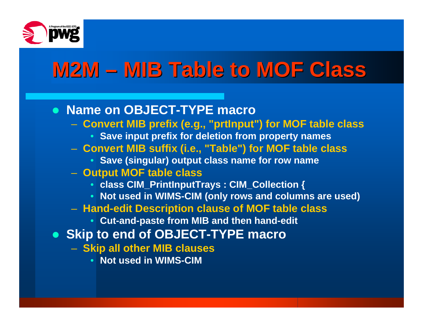

## **M2M – MIB Table to MOF Class MIB Table to MOF Class**

#### **• Name on OBJECT-TYPE macro**

- **Convert MIB prefix (e.g., "prtInput") for MOF table class**
	- **Save input prefix for deletion from property names**
- **Convert MIB suffix (i.e., "Table") for MOF table class**
	- **Save (singular) output class name for row name**
- **Output MOF table class**
	- **class CIM\_PrintInputTrays : CIM\_Collection {**
	- **Not used in WIMS-CIM (only rows and columns are used)**
- **Hand-edit Description clause of MOF table class**
	- **Cut-and-paste from MIB and then hand-edit**
- **Skip to end of OBJECT-TYPE macro** 
	- **Skip all other MIB clauses**
		- **Not used in WIMS-CIM**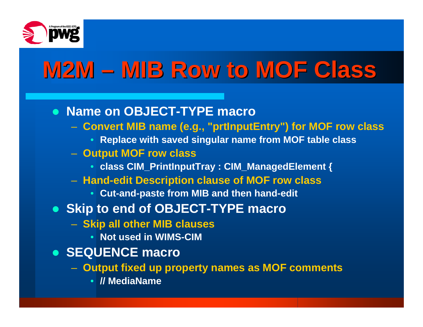

# **M2M – MIB Row to MOF Class MIB Row to MOF Class**

### **• Name on OBJECT-TYPE macro**

- **Convert MIB name (e.g., "prtInputEntry") for MOF row class**
	- **Replace with saved singular name from MOF table class**
- **Output MOF row class**
	- **class CIM\_PrintInputTray : CIM\_ManagedElement {**
- **Hand-edit Description clause of MOF row class**
	- **Cut-and-paste from MIB and then hand-edit**
- **Skip to end of OBJECT-TYPE macro** 
	- **Skip all other MIB clauses**
		- **Not used in WIMS-CIM**
- **SEQUENCE macro** 
	- **Output fixed up property names as MOF comments**
		- **// MediaName**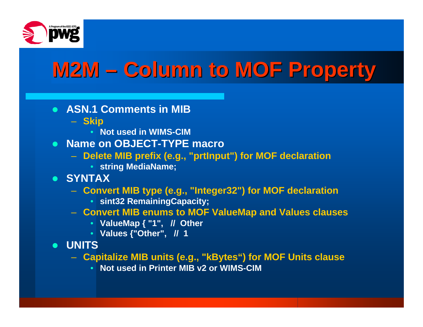

## **M2M – Column to MOF Property Column to MOF Property**

- **ASN.1 Comments in MIB** 
	- **Skip**
		- **Not used in WIMS-CIM**
- **Name on OBJECT-TYPE macro** 
	- **Delete MIB prefix (e.g., "prtInput") for MOF declaration**
		- **string MediaName;**
- z **SYNTAX**
	- **Convert MIB type (e.g., "Integer32") for MOF declaration**
		- **sint32 RemainingCapacity;**
	- **Convert MIB enums to MOF ValueMap and Values clauses**
		- **ValueMap { "1", // Other**
		- **Values {"Other", // 1**
- z **UNITS**
	- **Capitalize MIB units (e.g., "kBytes") for MOF Units clause**
		- **Not used in Printer MIB v2 or WIMS-CIM**